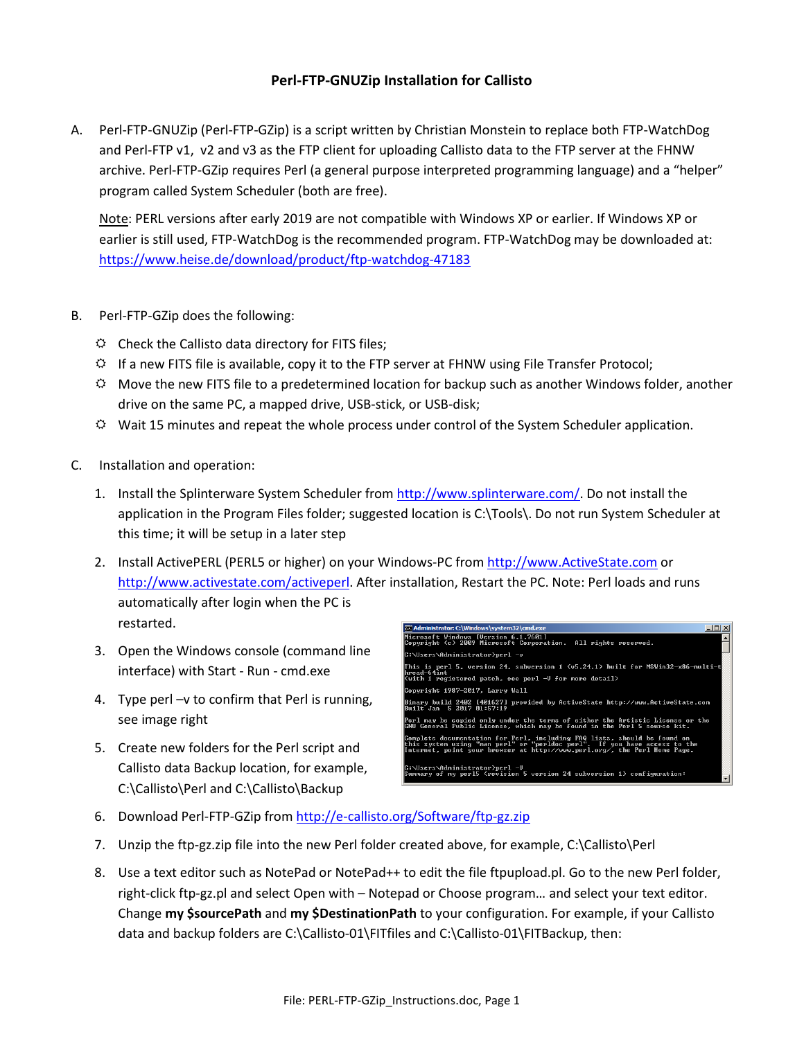## **Perl-FTP-GNUZip Installation for Callisto**

A. Perl-FTP-GNUZip (Perl-FTP-GZip) is a script written by Christian Monstein to replace both FTP-WatchDog and Perl-FTP v1, v2 and v3 as the FTP client for uploading Callisto data to the FTP server at the FHNW archive. Perl-FTP-GZip requires Perl (a general purpose interpreted programming language) and a "helper" program called System Scheduler (both are free).

 Note: PERL versions after early 2019 are not compatible with Windows XP or earlier. If Windows XP or earlier is still used, FTP-WatchDog is the recommended program. FTP-WatchDog may be downloaded at: https://www.heise.de/download/product/ftp-watchdog-47183

- B. Perl-FTP-GZip does the following:
	- $\Leftrightarrow$  Check the Callisto data directory for FITS files;
	- $\ddot{\varphi}$  If a new FITS file is available, copy it to the FTP server at FHNW using File Transfer Protocol;
	- $\heartsuit$  Move the new FITS file to a predetermined location for backup such as another Windows folder, another drive on the same PC, a mapped drive, USB-stick, or USB-disk;
	- $\heartsuit$  Wait 15 minutes and repeat the whole process under control of the System Scheduler application.
- C. Installation and operation:
	- 1. Install the Splinterware System Scheduler from http://www.splinterware.com/. Do not install the application in the Program Files folder; suggested location is C:\Tools\. Do not run System Scheduler at this time; it will be setup in a later step
	- 2. Install ActivePERL (PERL5 or higher) on your Windows-PC from http://www.ActiveState.com or http://www.activestate.com/activeperl. After installation, Restart the PC. Note: Perl loads and runs automatically after login when the PC is restarted.
	- 3. Open the Windows console (command line interface) with Start - Run - cmd.exe
	- 4. Type perl –v to confirm that Perl is running, see image right
	- 5. Create new folders for the Perl script and Callisto data Backup location, for example, C:\Callisto\Perl and C:\Callisto\Backup



- 6. Download Perl-FTP-GZip from http://e-callisto.org/Software/ftp-gz.zip
- 7. Unzip the ftp-gz.zip file into the new Perl folder created above, for example, C:\Callisto\Perl
- 8. Use a text editor such as NotePad or NotePad++ to edit the file ftpupload.pl. Go to the new Perl folder, right-click ftp-gz.pl and select Open with – Notepad or Choose program… and select your text editor. Change **my \$sourcePath** and **my \$DestinationPath** to your configuration. For example, if your Callisto data and backup folders are C:\Callisto-01\FITfiles and C:\Callisto-01\FITBackup, then: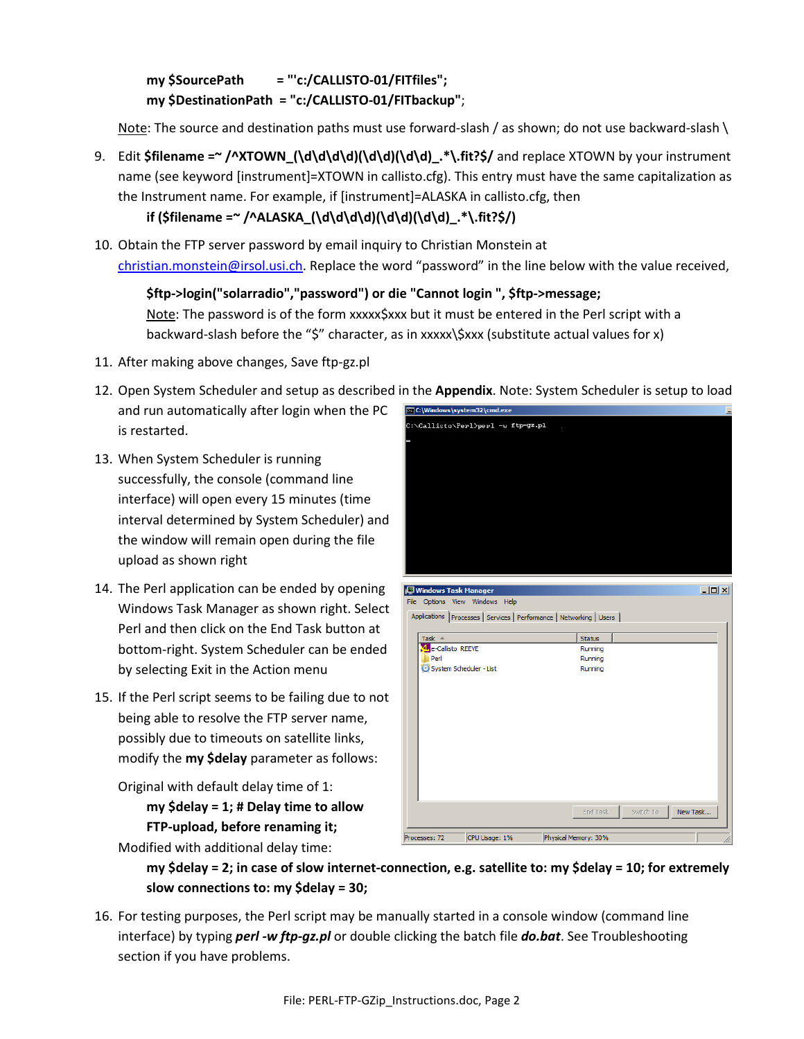**my \$SourcePath = "'c:/CALLISTO-01/FITfiles"; my \$DestinationPath = "c:/CALLISTO-01/FITbackup"**;

Note: The source and destination paths must use forward-slash / as shown; do not use backward-slash \

- 9. Edit **\$filename =~ /^XTOWN\_(\d\d\d\d)(\d\d)(\d\d)\_.\*\.fit?\$/** and replace XTOWN by your instrument name (see keyword [instrument]=XTOWN in callisto.cfg). This entry must have the same capitalization as the Instrument name. For example, if [instrument]=ALASKA in callisto.cfg, then **if (\$filename =~ /^ALASKA\_(\d\d\d\d)(\d\d)(\d\d)\_.\*\.fit?\$/)**
- 10. Obtain the FTP server password by email inquiry to Christian Monstein at christian.monstein@irsol.usi.ch. Replace the word "password" in the line below with the value received,

**\$ftp->login("solarradio","password") or die "Cannot login ", \$ftp->message;**  Note: The password is of the form xxxxx\$xxx but it must be entered in the Perl script with a backward-slash before the "\$" character, as in xxxxx\\$xxx (substitute actual values for x)

- 11. After making above changes, Save ftp-gz.pl
- 12. Open System Scheduler and setup as described in the **Appendix**. Note: System Scheduler is setup to load **B.** C:\Windows\system32\cmd.exe and run automatically after login when the PC ::\Callisto\Perl>perl -w ftp-gz.pl is restarted.
- 13. When System Scheduler is running successfully, the console (command line interface) will open every 15 minutes (time interval determined by System Scheduler) and the window will remain open during the file upload as shown right
- 14. The Perl application can be ended by opening Windows Task Manager as shown right. Select Perl and then click on the End Task button at bottom-right. System Scheduler can be ended by selecting Exit in the Action menu
- 15. If the Perl script seems to be failing due to not being able to resolve the FTP server name, possibly due to timeouts on satellite links, modify the **my \$delay** parameter as follows:

Original with default delay time of 1: **my \$delay = 1; # Delay time to allow FTP-upload, before renaming it;** 



|  | Applications   Processes   Services   Performance   Networking   Users |  |
|--|------------------------------------------------------------------------|--|
|  |                                                                        |  |

| Task $\triangle$               | <b>Status</b>        |                       |
|--------------------------------|----------------------|-----------------------|
| 4 e-Callisto REEVE             | Running              |                       |
| Perl                           | Running              |                       |
| System Scheduler - List        | Running              |                       |
|                                |                      |                       |
|                                |                      |                       |
|                                |                      |                       |
|                                |                      |                       |
|                                |                      |                       |
|                                |                      |                       |
|                                |                      |                       |
|                                |                      |                       |
|                                |                      |                       |
|                                |                      |                       |
|                                |                      |                       |
|                                |                      |                       |
|                                | End Task             | New Task<br>Switch To |
|                                |                      |                       |
| CPU Usage: 1%<br>Processes: 72 | Physical Memory: 30% |                       |

Modified with additional delay time:

**my \$delay = 2; in case of slow internet-connection, e.g. satellite to: my \$delay = 10; for extremely slow connections to: my \$delay = 30;** 

16. For testing purposes, the Perl script may be manually started in a console window (command line interface) by typing *perl -w ftp-gz.pl* or double clicking the batch file *do.bat*. See Troubleshooting section if you have problems.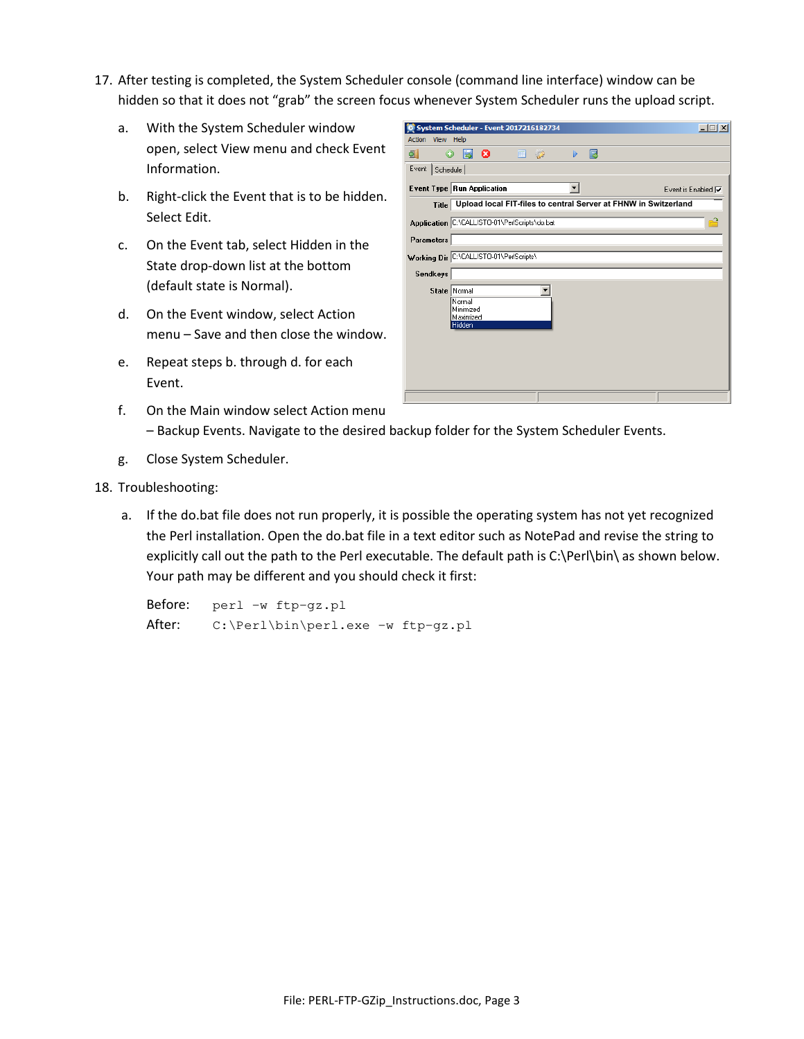17. After testing is completed, the System Scheduler console (command line interface) window can be hidden so that it does not "grab" the screen focus whenever System Scheduler runs the upload script.

C System Scheduler - Event 2017216182734

- a. With the System Scheduler window open, select View menu and check Event Information.
- b. Right-click the Event that is to be hidden. Select Edit.
- c. On the Event tab, select Hidden in the State drop-down list at the bottom (default state is Normal).
- d. On the Event window, select Action menu – Save and then close the window.
- e. Repeat steps b. through d. for each Event.
- Action View Help 氫  $\circ$  50  $\triangleright$   $\Box$ ■ 22 Event Schedule **Event Type Run Application**  $\overline{\phantom{a}}$ Fivent is Enabled  $\overline{\mathbf{v}}$ **Upload local FIT-files to central Server at FHNW in Switzerland**Application C:\CALLISTO-01\PerlScripts\do.bat Parameters Working Dir C:\CALLISTO-01\PerlScripts\ **Sendkeys** State Normal  $\overline{\phantom{a}}$ Normal Minimized Maximized

 $\overline{|\mathbf{x}|}$ 

- f. On the Main window select Action menu – Backup Events. Navigate to the desired backup folder for the System Scheduler Events.
- g. Close System Scheduler.
- 18. Troubleshooting:
	- a. If the do.bat file does not run properly, it is possible the operating system has not yet recognized the Perl installation. Open the do.bat file in a text editor such as NotePad and revise the string to explicitly call out the path to the Perl executable. The default path is C:\Perl\bin\ as shown below. Your path may be different and you should check it first:

 Before: perl -w ftp-gz.pl After: C:\Perl\bin\perl.exe -w ftp-gz.pl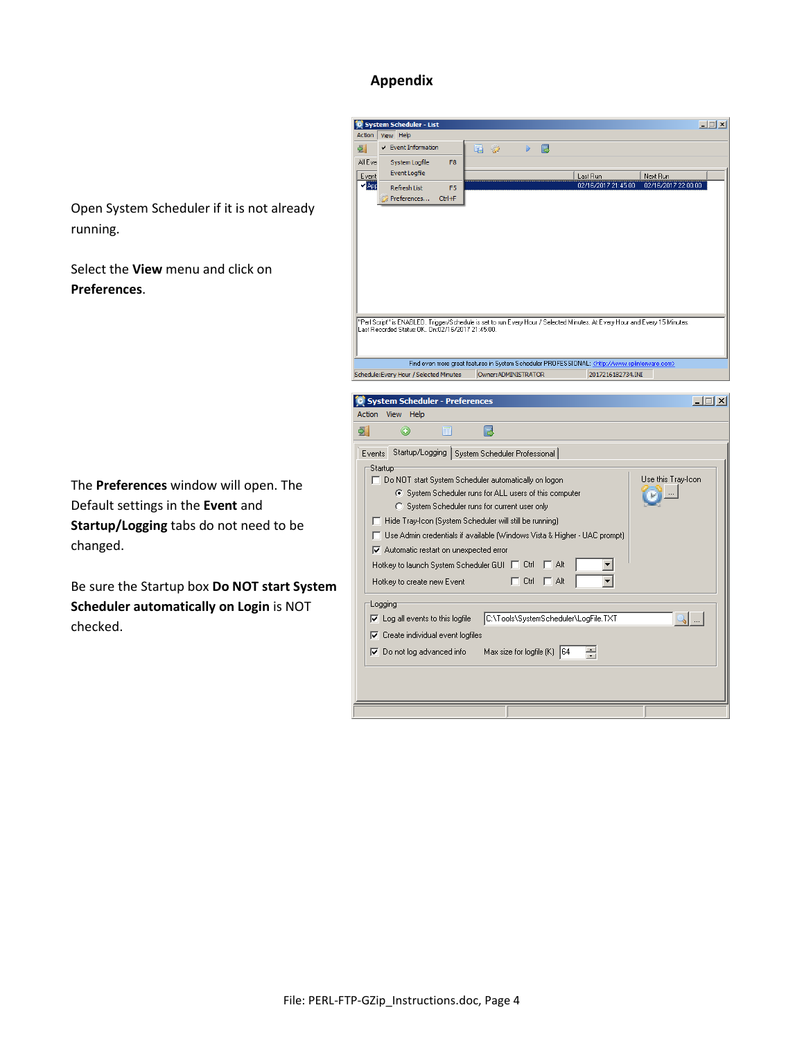## **Appendix**

Open System Scheduler if it is not already running.

Select the **View** menu and click on **Preferences**.

The **Preferences** window will open. The Default settings in the **Event** and **Startup/Logging** tabs do not need to be changed.

Be sure the Startup box **Do NOT start System Scheduler automatically on Login** is NOT checked.

| <b>Action</b>            | View Help                                                                  |                    |                               |                                                                                                                             |                          |
|--------------------------|----------------------------------------------------------------------------|--------------------|-------------------------------|-----------------------------------------------------------------------------------------------------------------------------|--------------------------|
|                          |                                                                            |                    |                               |                                                                                                                             |                          |
| 51                       | $\checkmark$ Event Information                                             | 咟<br>$\mathscr{D}$ | 扈                             |                                                                                                                             |                          |
| All Eve                  | System Logfile<br>F <sub>8</sub>                                           |                    |                               |                                                                                                                             |                          |
| Event                    | <b>Event Logfile</b>                                                       |                    |                               | Last Run                                                                                                                    | Next Run                 |
| $\blacktriangledown$ App | <b>Refresh List</b><br>F <sub>5</sub>                                      |                    |                               | 02/16/2017 21:45:00                                                                                                         | 02/16/2017 22:00:00      |
|                          | Preferences<br>$Ctrl + F$                                                  |                    |                               |                                                                                                                             |                          |
|                          |                                                                            |                    |                               |                                                                                                                             |                          |
|                          |                                                                            |                    |                               |                                                                                                                             |                          |
|                          |                                                                            |                    |                               |                                                                                                                             |                          |
|                          |                                                                            |                    |                               |                                                                                                                             |                          |
|                          |                                                                            |                    |                               |                                                                                                                             |                          |
|                          |                                                                            |                    |                               |                                                                                                                             |                          |
|                          |                                                                            |                    |                               |                                                                                                                             |                          |
|                          |                                                                            |                    |                               |                                                                                                                             |                          |
|                          |                                                                            |                    |                               |                                                                                                                             |                          |
|                          |                                                                            |                    |                               | "Perl Script" is ENABLED. Trigger/Schedule is set to run Every Hour / Selected Minutes. At Every Hour and Every 15 Minutes. |                          |
|                          | Last Recorded Status: OK. On: 02/16/2017 21:45:00.                         |                    |                               |                                                                                                                             |                          |
|                          |                                                                            |                    |                               |                                                                                                                             |                          |
|                          |                                                                            |                    |                               |                                                                                                                             |                          |
|                          |                                                                            |                    |                               | Find even more great features in System Scheduler PROFESSIONAL: <http: www.splinterware.com=""></http:>                     |                          |
|                          | Schedule: Every Hour / Selected Minutes                                    |                    | Owner: ADMINISTRATOR          | 2017216182734.INI                                                                                                           |                          |
|                          |                                                                            |                    |                               |                                                                                                                             |                          |
| ₿.                       | 雇<br>۰                                                                     | 扈                  |                               |                                                                                                                             |                          |
| Events                   | Startup/Logging   System Scheduler Professional                            |                    |                               |                                                                                                                             |                          |
|                          |                                                                            |                    |                               |                                                                                                                             |                          |
|                          |                                                                            |                    |                               |                                                                                                                             |                          |
|                          | 'Startup                                                                   |                    |                               |                                                                                                                             |                          |
|                          | □ Do NOT start System Scheduler automatically on logon                     |                    |                               |                                                                                                                             | Use this Tray-Icon       |
|                          | System Scheduler runs for ALL users of this computer                       |                    |                               |                                                                                                                             |                          |
|                          | C System Scheduler runs for current user only                              |                    |                               |                                                                                                                             |                          |
|                          | Hide Tray-Icon (System Scheduler will still be running)                    |                    |                               |                                                                                                                             |                          |
|                          |                                                                            |                    |                               |                                                                                                                             |                          |
|                          | □ Use Admin credentials if available [Windows Vista & Higher - UAC prompt] |                    |                               |                                                                                                                             |                          |
|                          | $\nabla$ Automatic restart on unexpected error                             |                    |                               |                                                                                                                             |                          |
|                          | Hotkey to launch System Scheduler GUI □                                    |                    | Ctrl                          | Alt                                                                                                                         |                          |
|                          |                                                                            |                    | Ctrl<br>п                     | Alt                                                                                                                         |                          |
|                          | Hotkey to create new Event                                                 |                    |                               |                                                                                                                             |                          |
|                          |                                                                            |                    |                               |                                                                                                                             |                          |
|                          | Logging                                                                    |                    |                               |                                                                                                                             |                          |
|                          | $\triangledown$ Log all events to this logfile                             |                    |                               | C:\Tools\SystemScheduler\LogFile.TXT                                                                                        | $\overline{\phantom{a}}$ |
|                          | $\nabla$ Create individual event logfiles                                  |                    |                               |                                                                                                                             |                          |
|                          | $\nabla$ Do not log advanced info                                          |                    | Max size for logfile $(K)$ 64 | $\overline{\phantom{0}}$                                                                                                    |                          |
|                          |                                                                            |                    |                               | $\mathbf{v}$                                                                                                                |                          |
|                          |                                                                            |                    |                               |                                                                                                                             |                          |
|                          |                                                                            |                    |                               |                                                                                                                             |                          |
|                          |                                                                            |                    |                               |                                                                                                                             |                          |
|                          |                                                                            |                    |                               |                                                                                                                             |                          |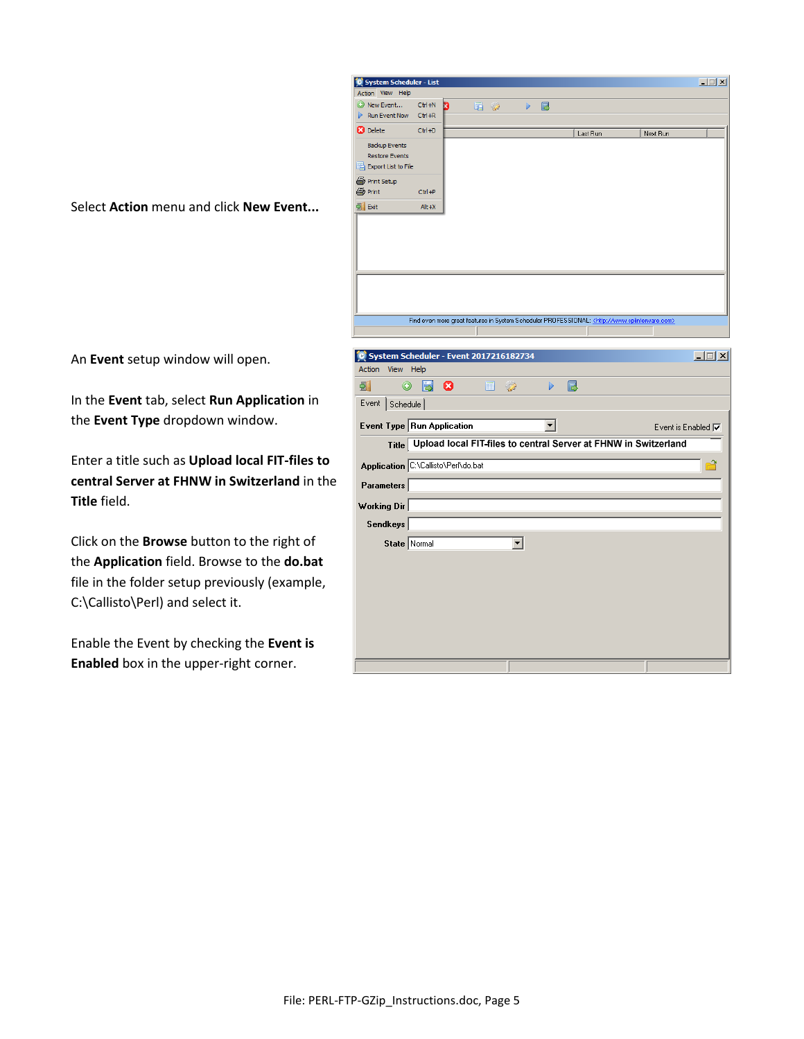

Select **Action** menu and click **New Event...**

An **Event** setup window will open.

In the **Event** tab, select **Run Application** in the **Event Type** dropdown window.

Enter a title such as **Upload local FIT-files to central Server at FHNW in Switzerland** in the **Title** field.

Click on the **Browse** button to the right of the **Application** field. Browse to the **do.bat** file in the folder setup previously (example, C:\Callisto\Perl) and select it.

Enable the Event by checking the **Event is Enabled** box in the upper-right corner.

|                            | System Scheduler - Event 2017216182734                          | $\Box$                    |
|----------------------------|-----------------------------------------------------------------|---------------------------|
| <b>Action</b><br>View Help |                                                                 |                           |
| $^{\circ}$<br>う.           | Ы<br>- 0<br>国 つ<br>囻<br>D                                       |                           |
| Event Schedule             |                                                                 |                           |
|                            | Event Type Run Application                                      | Event is Enabled $\nabla$ |
| <b>Title</b>               | Upload local FIT-files to central Server at FHNW in Switzerland |                           |
|                            | Application C:\Callisto\Perl\do.bat                             | ✿                         |
| Parameters                 |                                                                 |                           |
| <b>Working Dir</b>         |                                                                 |                           |
| Sendkeys                   |                                                                 |                           |
|                            | State Normal<br>$\overline{\phantom{a}}$                        |                           |
|                            |                                                                 |                           |
|                            |                                                                 |                           |
|                            |                                                                 |                           |
|                            |                                                                 |                           |
|                            |                                                                 |                           |
|                            |                                                                 |                           |
|                            |                                                                 |                           |
|                            |                                                                 |                           |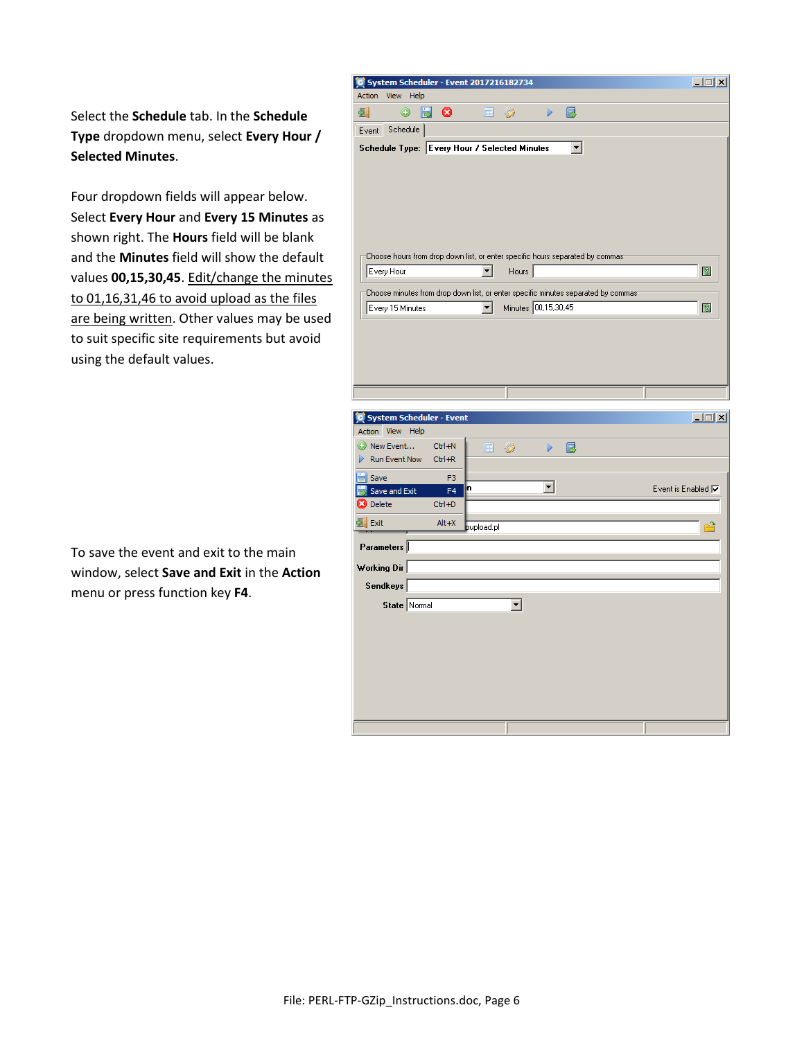Select the **Schedule** tab. In the **Schedule Type** dropdown menu, select **Every Hour / Selected Minutes**.

Four dropdown fields will appear below. Select **Every Hour** and **Every 15 Minutes** as shown right. The **Hours** field will be blank and the **Minutes** field will show the default values **00,15,30,45**. Edit/change the minutes to 01,16,31,46 to avoid upload as the files are being written. Other values may be used to suit specific site requirements but avoid using the default values.

To save the event and exit to the main window, select **Save and Exit** in the **Action** menu or press function key **F4**.

| View Help<br>Action                                                                                                               |                      |              |                     |   |    |                                     |
|-----------------------------------------------------------------------------------------------------------------------------------|----------------------|--------------|---------------------|---|----|-------------------------------------|
| $\circledcirc$<br>5.                                                                                                              | 匮<br>ශ               | 屇            | $\mathcal{Q}$       | D | 扈  |                                     |
| Schedule<br>Event                                                                                                                 |                      |              |                     |   |    |                                     |
| Schedule Type: Every Hour / Selected Minutes                                                                                      |                      |              |                     |   | ▾╎ |                                     |
|                                                                                                                                   |                      |              |                     |   |    |                                     |
|                                                                                                                                   |                      |              |                     |   |    |                                     |
|                                                                                                                                   |                      |              |                     |   |    |                                     |
|                                                                                                                                   |                      |              |                     |   |    |                                     |
|                                                                                                                                   |                      |              |                     |   |    |                                     |
|                                                                                                                                   |                      |              |                     |   |    |                                     |
| Choose hours from drop down list, or enter specific hours separated by commas                                                     |                      |              |                     |   |    |                                     |
| Every Hour                                                                                                                        |                      | ▾╎           | Hours               |   |    | 図                                   |
| Choose minutes from drop down list, or enter specific minutes separated by commast                                                |                      |              |                     |   |    |                                     |
| Every 15 Minutes                                                                                                                  |                      | $\mathbf{r}$ | Minutes 00,15,30,45 |   |    | 図                                   |
|                                                                                                                                   |                      |              |                     |   |    |                                     |
|                                                                                                                                   |                      |              |                     |   |    |                                     |
|                                                                                                                                   |                      |              |                     |   |    |                                     |
|                                                                                                                                   |                      |              |                     |   |    |                                     |
|                                                                                                                                   |                      |              |                     |   |    |                                     |
|                                                                                                                                   |                      |              |                     |   |    |                                     |
|                                                                                                                                   |                      |              |                     |   |    |                                     |
|                                                                                                                                   |                      |              |                     |   |    |                                     |
|                                                                                                                                   |                      |              |                     |   |    |                                     |
|                                                                                                                                   |                      |              |                     |   |    |                                     |
| Run Event Now                                                                                                                     | Ctrl+N<br>$Ctr1 + R$ | 屇            | $\mathcal{C}$       | D | B  |                                     |
|                                                                                                                                   |                      |              |                     |   |    |                                     |
| Save                                                                                                                              | F3<br>F4             | 'n           |                     | ▾ |    |                                     |
| Save and Exit                                                                                                                     | Ctrl+D               |              |                     |   |    |                                     |
|                                                                                                                                   | $Alt+X$              |              |                     |   |    |                                     |
|                                                                                                                                   |                      | pupload.pl   |                     |   |    |                                     |
|                                                                                                                                   |                      |              |                     |   |    |                                     |
|                                                                                                                                   |                      |              |                     |   |    |                                     |
|                                                                                                                                   |                      |              |                     |   |    |                                     |
| Sendkeys                                                                                                                          |                      |              |                     |   |    |                                     |
| State Normal                                                                                                                      |                      |              | ▾                   |   |    | $\Box$<br>Event is Enabled $\nabla$ |
| System Scheduler - Event<br>Action View Help<br>O New Event<br><b>B</b> Delete<br>$\frac{1}{2}$ Exit<br>Parameters<br>Working Dir |                      |              |                     |   |    |                                     |
|                                                                                                                                   |                      |              |                     |   |    |                                     |
|                                                                                                                                   |                      |              |                     |   |    |                                     |
|                                                                                                                                   |                      |              |                     |   |    |                                     |
|                                                                                                                                   |                      |              |                     |   |    |                                     |
|                                                                                                                                   |                      |              |                     |   |    |                                     |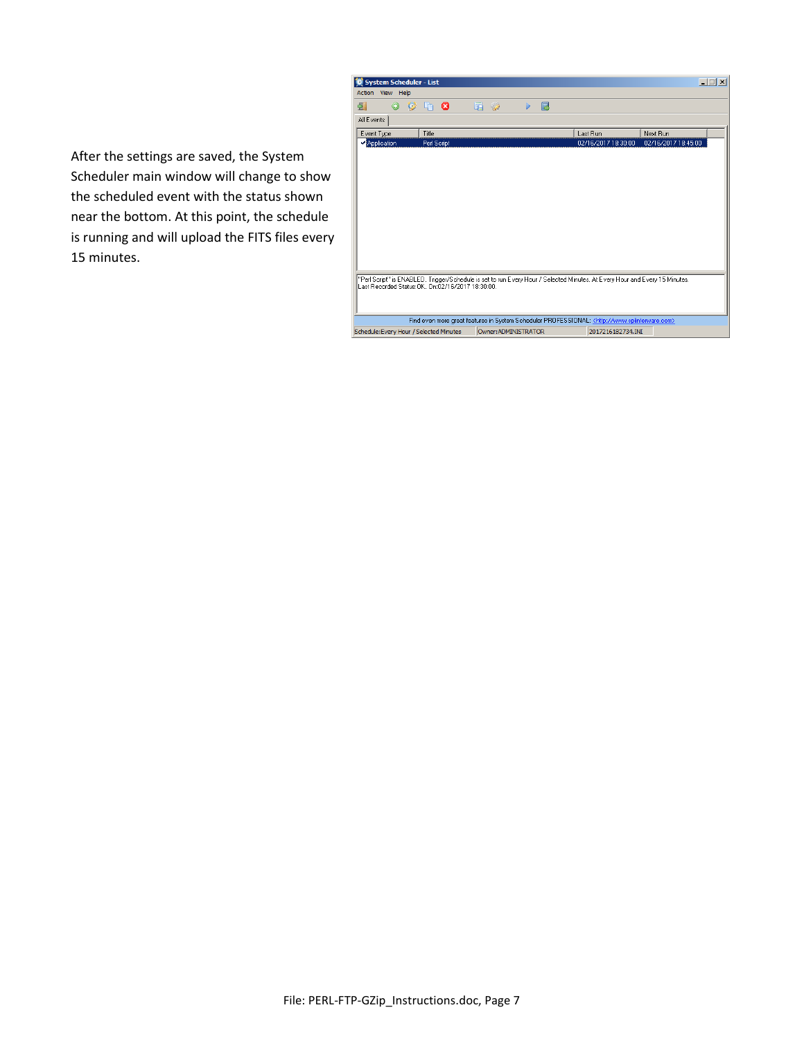

After the settings are saved, the System Scheduler main window will change to show the scheduled event with the status shown near the bottom. At this point, the schedule is running and will upload the FITS files every 15 minutes.